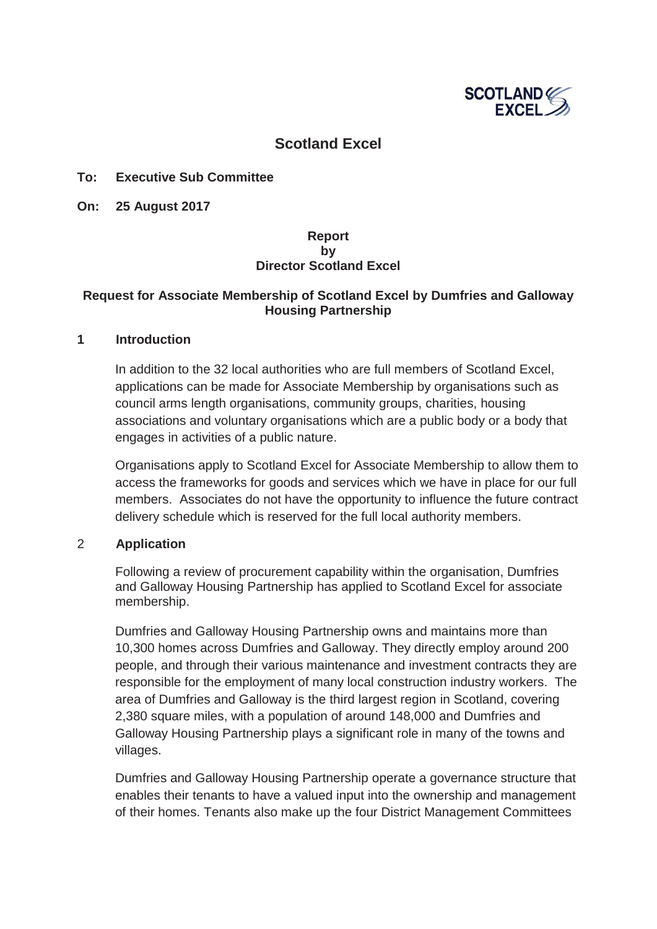

## **Scotland Excel**

### **To: Executive Sub Committee**

**On: 25 August 2017** 

### **Report by Director Scotland Excel**

### **Request for Associate Membership of Scotland Excel by Dumfries and Galloway Housing Partnership**

#### **1 Introduction**

In addition to the 32 local authorities who are full members of Scotland Excel, applications can be made for Associate Membership by organisations such as council arms length organisations, community groups, charities, housing associations and voluntary organisations which are a public body or a body that engages in activities of a public nature.

Organisations apply to Scotland Excel for Associate Membership to allow them to access the frameworks for goods and services which we have in place for our full members. Associates do not have the opportunity to influence the future contract delivery schedule which is reserved for the full local authority members.

#### 2 **Application**

Following a review of procurement capability within the organisation, Dumfries and Galloway Housing Partnership has applied to Scotland Excel for associate membership.

Dumfries and Galloway Housing Partnership owns and maintains more than 10,300 homes across Dumfries and Galloway. They directly employ around 200 people, and through their various maintenance and investment contracts they are responsible for the employment of many local construction industry workers. The area of Dumfries and Galloway is the third largest region in Scotland, covering 2,380 square miles, with a population of around 148,000 and Dumfries and Galloway Housing Partnership plays a significant role in many of the towns and villages.

Dumfries and Galloway Housing Partnership operate a governance structure that enables their tenants to have a valued input into the ownership and management of their homes. Tenants also make up the four District Management Committees